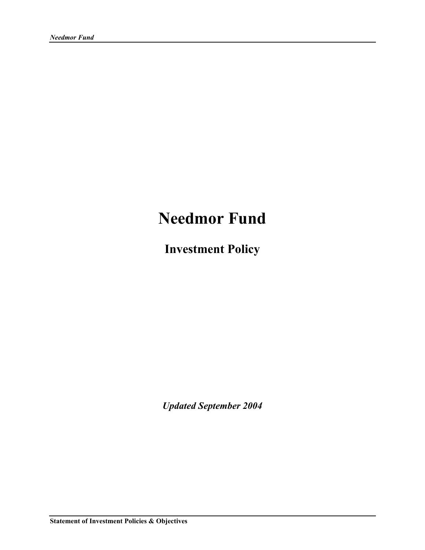# **Needmor Fund**

**Investment Policy** 

*Updated September 2004*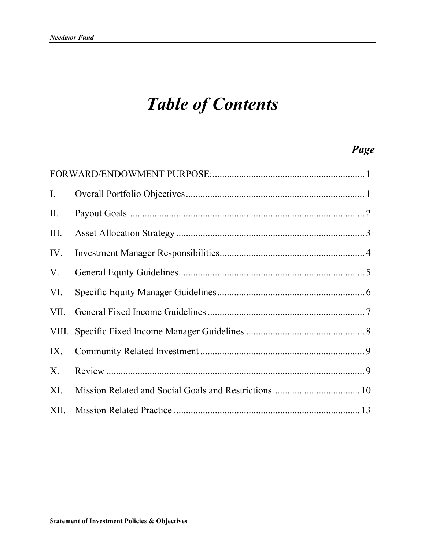# *Table of Contents*

# *Page*

| $\mathbf{I}$ . |  |
|----------------|--|
| $\prod$ .      |  |
| III.           |  |
| IV.            |  |
| V.             |  |
| VI.            |  |
| VII.           |  |
|                |  |
| IX.            |  |
| Χ.             |  |
| XI.            |  |
| XII.           |  |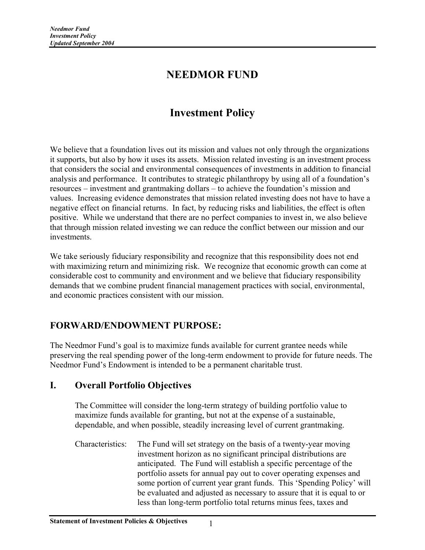# **NEEDMOR FUND**

# **Investment Policy**

We believe that a foundation lives out its mission and values not only through the organizations it supports, but also by how it uses its assets. Mission related investing is an investment process that considers the social and environmental consequences of investments in addition to financial analysis and performance. It contributes to strategic philanthropy by using all of a foundation's resources – investment and grantmaking dollars – to achieve the foundation's mission and values. Increasing evidence demonstrates that mission related investing does not have to have a negative effect on financial returns. In fact, by reducing risks and liabilities, the effect is often positive. While we understand that there are no perfect companies to invest in, we also believe that through mission related investing we can reduce the conflict between our mission and our investments.

We take seriously fiduciary responsibility and recognize that this responsibility does not end with maximizing return and minimizing risk. We recognize that economic growth can come at considerable cost to community and environment and we believe that fiduciary responsibility demands that we combine prudent financial management practices with social, environmental, and economic practices consistent with our mission.

# **FORWARD/ENDOWMENT PURPOSE:**

The Needmor Fund's goal is to maximize funds available for current grantee needs while preserving the real spending power of the long-term endowment to provide for future needs. The Needmor Fund's Endowment is intended to be a permanent charitable trust.

# **I. Overall Portfolio Objectives**

The Committee will consider the long-term strategy of building portfolio value to maximize funds available for granting, but not at the expense of a sustainable, dependable, and when possible, steadily increasing level of current grantmaking.

Characteristics: The Fund will set strategy on the basis of a twenty-year moving investment horizon as no significant principal distributions are anticipated. The Fund will establish a specific percentage of the portfolio assets for annual pay out to cover operating expenses and some portion of current year grant funds. This 'Spending Policy' will be evaluated and adjusted as necessary to assure that it is equal to or less than long-term portfolio total returns minus fees, taxes and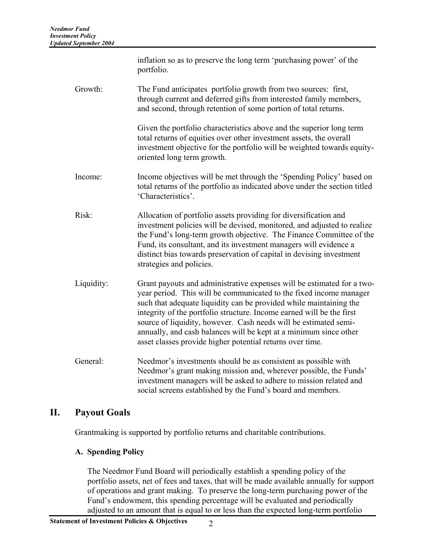|            | inflation so as to preserve the long term 'purchasing power' of the<br>portfolio.                                                                                                                                                                                                                                                                                                                                                                                                                 |  |
|------------|---------------------------------------------------------------------------------------------------------------------------------------------------------------------------------------------------------------------------------------------------------------------------------------------------------------------------------------------------------------------------------------------------------------------------------------------------------------------------------------------------|--|
| Growth:    | The Fund anticipates portfolio growth from two sources: first,<br>through current and deferred gifts from interested family members,<br>and second, through retention of some portion of total returns.                                                                                                                                                                                                                                                                                           |  |
|            | Given the portfolio characteristics above and the superior long term<br>total returns of equities over other investment assets, the overall<br>investment objective for the portfolio will be weighted towards equity-<br>oriented long term growth.                                                                                                                                                                                                                                              |  |
| Income:    | Income objectives will be met through the 'Spending Policy' based on<br>total returns of the portfolio as indicated above under the section titled<br>'Characteristics'.                                                                                                                                                                                                                                                                                                                          |  |
| Risk:      | Allocation of portfolio assets providing for diversification and<br>investment policies will be devised, monitored, and adjusted to realize<br>the Fund's long-term growth objective. The Finance Committee of the<br>Fund, its consultant, and its investment managers will evidence a<br>distinct bias towards preservation of capital in devising investment<br>strategies and policies.                                                                                                       |  |
| Liquidity: | Grant payouts and administrative expenses will be estimated for a two-<br>year period. This will be communicated to the fixed income manager<br>such that adequate liquidity can be provided while maintaining the<br>integrity of the portfolio structure. Income earned will be the first<br>source of liquidity, however. Cash needs will be estimated semi-<br>annually, and cash balances will be kept at a minimum since other<br>asset classes provide higher potential returns over time. |  |
| General:   | Needmor's investments should be as consistent as possible with<br>Needmor's grant making mission and, wherever possible, the Funds'<br>investment managers will be asked to adhere to mission related and<br>social screens established by the Fund's board and members.                                                                                                                                                                                                                          |  |

### **II. Payout Goals**

Grantmaking is supported by portfolio returns and charitable contributions.

#### **A. Spending Policy**

The Needmor Fund Board will periodically establish a spending policy of the portfolio assets, net of fees and taxes, that will be made available annually for support of operations and grant making. To preserve the long-term purchasing power of the Fund's endowment, this spending percentage will be evaluated and periodically adjusted to an amount that is equal to or less than the expected long-term portfolio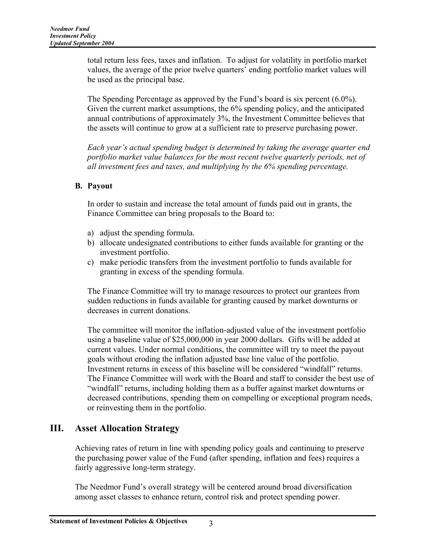total return less fees, taxes and inflation. To adjust for volatility in portfolio market values, the average of the prior twelve quarters' ending portfolio market values will be used as the principal base.

The Spending Percentage as approved by the Fund's board is six percent (6.0%). Given the current market assumptions, the 6% spending policy, and the anticipated annual contributions of approximately 3%, the Investment Committee believes that the assets will continue to grow at a sufficient rate to preserve purchasing power.

*Each year's actual spending budget is determined by taking the average quarter end portfolio market value balances for the most recent twelve quarterly periods, net of all investment fees and taxes, and multiplying by the 6% spending percentage.* 

#### **B. Payout**

In order to sustain and increase the total amount of funds paid out in grants, the Finance Committee can bring proposals to the Board to:

- a) adjust the spending formula.
- b) allocate undesignated contributions to either funds available for granting or the investment portfolio.
- c) make periodic transfers from the investment portfolio to funds available for granting in excess of the spending formula.

The Finance Committee will try to manage resources to protect our grantees from sudden reductions in funds available for granting caused by market downturns or decreases in current donations.

The committee will monitor the inflation-adjusted value of the investment portfolio using a baseline value of \$25,000,000 in year 2000 dollars. Gifts will be added at current values. Under normal conditions, the committee will try to meet the payout goals without eroding the inflation adjusted base line value of the portfolio. Investment returns in excess of this baseline will be considered "windfall" returns. The Finance Committee will work with the Board and staff to consider the best use of "windfall" returns, including holding them as a buffer against market downturns or decreased contributions, spending them on compelling or exceptional program needs, or reinvesting them in the portfolio.

# **III. Asset Allocation Strategy**

Achieving rates of return in line with spending policy goals and continuing to preserve the purchasing power value of the Fund (after spending, inflation and fees) requires a fairly aggressive long-term strategy.

The Needmor Fund's overall strategy will be centered around broad diversification among asset classes to enhance return, control risk and protect spending power.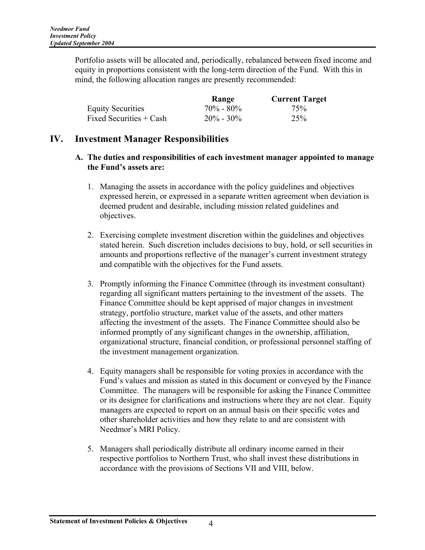Portfolio assets will be allocated and, periodically, rebalanced between fixed income and equity in proportions consistent with the long-term direction of the Fund. With this in mind, the following allocation ranges are presently recommended:

|                          | Range         | <b>Current Target</b> |
|--------------------------|---------------|-----------------------|
| <b>Equity Securities</b> | $70\% - 80\%$ | 75%                   |
| Fixed Securities + Cash  | $20\% - 30\%$ | 25 <sup>%</sup>       |

### **IV. Investment Manager Responsibilities**

#### **A. The duties and responsibilities of each investment manager appointed to manage the Fund's assets are:**

- 1. Managing the assets in accordance with the policy guidelines and objectives expressed herein, or expressed in a separate written agreement when deviation is deemed prudent and desirable, including mission related guidelines and objectives.
- 2. Exercising complete investment discretion within the guidelines and objectives stated herein. Such discretion includes decisions to buy, hold, or sell securities in amounts and proportions reflective of the manager's current investment strategy and compatible with the objectives for the Fund assets.
- 3. Promptly informing the Finance Committee (through its investment consultant) regarding all significant matters pertaining to the investment of the assets. The Finance Committee should be kept apprised of major changes in investment strategy, portfolio structure, market value of the assets, and other matters affecting the investment of the assets. The Finance Committee should also be informed promptly of any significant changes in the ownership, affiliation, organizational structure, financial condition, or professional personnel staffing of the investment management organization.
- 4. Equity managers shall be responsible for voting proxies in accordance with the Fund's values and mission as stated in this document or conveyed by the Finance Committee. The managers will be responsible for asking the Finance Committee or its designee for clarifications and instructions where they are not clear. Equity managers are expected to report on an annual basis on their specific votes and other shareholder activities and how they relate to and are consistent with Needmor's MRI Policy.
- 5. Managers shall periodically distribute all ordinary income earned in their respective portfolios to Northern Trust, who shall invest these distributions in accordance with the provisions of Sections VII and VIII, below.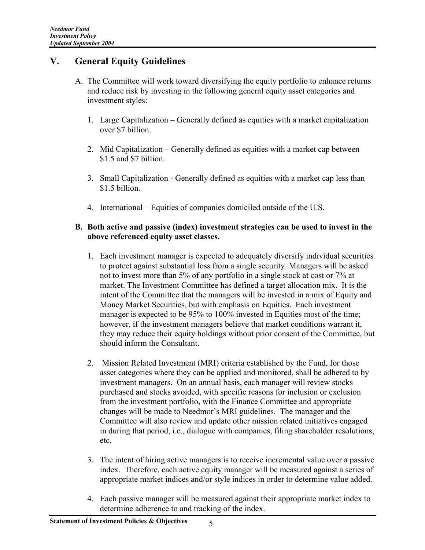# **V. General Equity Guidelines**

- A. The Committee will work toward diversifying the equity portfolio to enhance returns and reduce risk by investing in the following general equity asset categories and investment styles:
	- 1. Large Capitalization Generally defined as equities with a market capitalization over \$7 billion.
	- 2. Mid Capitalization Generally defined as equities with a market cap between \$1.5 and \$7 billion.
	- 3. Small Capitalization Generally defined as equities with a market cap less than \$1.5 billion.
	- 4. International Equities of companies domiciled outside of the U.S.

#### **B. Both active and passive (index) investment strategies can be used to invest in the above referenced equity asset classes.**

- 1. Each investment manager is expected to adequately diversify individual securities to protect against substantial loss from a single security. Managers will be asked not to invest more than 5% of any portfolio in a single stock at cost or 7% at market. The Investment Committee has defined a target allocation mix. It is the intent of the Committee that the managers will be invested in a mix of Equity and Money Market Securities, but with emphasis on Equities. Each investment manager is expected to be 95% to 100% invested in Equities most of the time; however, if the investment managers believe that market conditions warrant it, they may reduce their equity holdings without prior consent of the Committee, but should inform the Consultant.
- 2. Mission Related Investment (MRI) criteria established by the Fund, for those asset categories where they can be applied and monitored, shall be adhered to by investment managers. On an annual basis, each manager will review stocks purchased and stocks avoided, with specific reasons for inclusion or exclusion from the investment portfolio, with the Finance Committee and appropriate changes will be made to Needmor's MRI guidelines. The manager and the Committee will also review and update other mission related initiatives engaged in during that period, i.e., dialogue with companies, filing shareholder resolutions, etc.
- 3. The intent of hiring active managers is to receive incremental value over a passive index. Therefore, each active equity manager will be measured against a series of appropriate market indices and/or style indices in order to determine value added.
- 4. Each passive manager will be measured against their appropriate market index to determine adherence to and tracking of the index.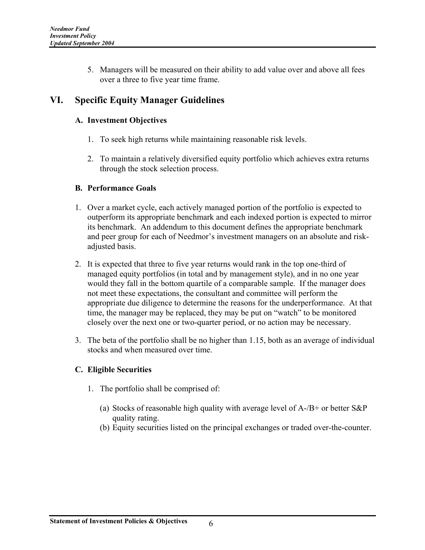5. Managers will be measured on their ability to add value over and above all fees over a three to five year time frame.

# **VI. Specific Equity Manager Guidelines**

### **A. Investment Objectives**

- 1. To seek high returns while maintaining reasonable risk levels.
- 2. To maintain a relatively diversified equity portfolio which achieves extra returns through the stock selection process.

### **B. Performance Goals**

- 1. Over a market cycle, each actively managed portion of the portfolio is expected to outperform its appropriate benchmark and each indexed portion is expected to mirror its benchmark. An addendum to this document defines the appropriate benchmark and peer group for each of Needmor's investment managers on an absolute and riskadjusted basis.
- 2. It is expected that three to five year returns would rank in the top one-third of managed equity portfolios (in total and by management style), and in no one year would they fall in the bottom quartile of a comparable sample. If the manager does not meet these expectations, the consultant and committee will perform the appropriate due diligence to determine the reasons for the underperformance. At that time, the manager may be replaced, they may be put on "watch" to be monitored closely over the next one or two-quarter period, or no action may be necessary.
- 3. The beta of the portfolio shall be no higher than 1.15, both as an average of individual stocks and when measured over time.

### **C. Eligible Securities**

- 1. The portfolio shall be comprised of:
	- (a) Stocks of reasonable high quality with average level of A-/B+ or better S&P quality rating.
	- (b) Equity securities listed on the principal exchanges or traded over-the-counter.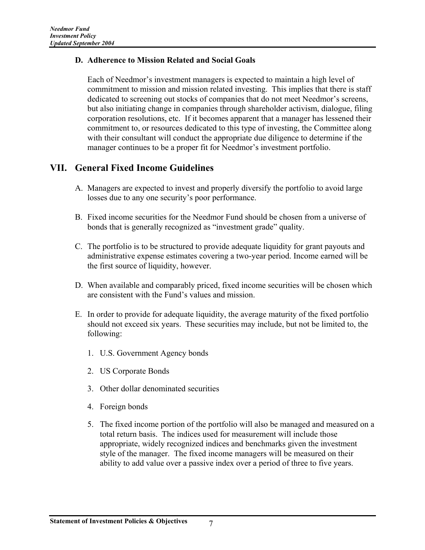#### **D. Adherence to Mission Related and Social Goals**

Each of Needmor's investment managers is expected to maintain a high level of commitment to mission and mission related investing. This implies that there is staff dedicated to screening out stocks of companies that do not meet Needmor's screens, but also initiating change in companies through shareholder activism, dialogue, filing corporation resolutions, etc. If it becomes apparent that a manager has lessened their commitment to, or resources dedicated to this type of investing, the Committee along with their consultant will conduct the appropriate due diligence to determine if the manager continues to be a proper fit for Needmor's investment portfolio.

### **VII. General Fixed Income Guidelines**

- A. Managers are expected to invest and properly diversify the portfolio to avoid large losses due to any one security's poor performance.
- B. Fixed income securities for the Needmor Fund should be chosen from a universe of bonds that is generally recognized as "investment grade" quality.
- C. The portfolio is to be structured to provide adequate liquidity for grant payouts and administrative expense estimates covering a two-year period. Income earned will be the first source of liquidity, however.
- D. When available and comparably priced, fixed income securities will be chosen which are consistent with the Fund's values and mission.
- E. In order to provide for adequate liquidity, the average maturity of the fixed portfolio should not exceed six years. These securities may include, but not be limited to, the following:
	- 1. U.S. Government Agency bonds
	- 2. US Corporate Bonds
	- 3. Other dollar denominated securities
	- 4. Foreign bonds
	- 5. The fixed income portion of the portfolio will also be managed and measured on a total return basis. The indices used for measurement will include those appropriate, widely recognized indices and benchmarks given the investment style of the manager. The fixed income managers will be measured on their ability to add value over a passive index over a period of three to five years.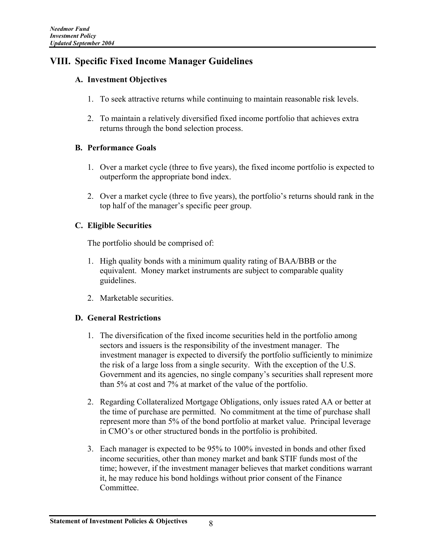# **VIII. Specific Fixed Income Manager Guidelines**

#### **A. Investment Objectives**

- 1. To seek attractive returns while continuing to maintain reasonable risk levels.
- 2. To maintain a relatively diversified fixed income portfolio that achieves extra returns through the bond selection process.

#### **B. Performance Goals**

- 1. Over a market cycle (three to five years), the fixed income portfolio is expected to outperform the appropriate bond index.
- 2. Over a market cycle (three to five years), the portfolio's returns should rank in the top half of the manager's specific peer group.

### **C. Eligible Securities**

The portfolio should be comprised of:

- 1. High quality bonds with a minimum quality rating of BAA/BBB or the equivalent. Money market instruments are subject to comparable quality guidelines.
- 2. Marketable securities.

#### **D. General Restrictions**

- 1. The diversification of the fixed income securities held in the portfolio among sectors and issuers is the responsibility of the investment manager. The investment manager is expected to diversify the portfolio sufficiently to minimize the risk of a large loss from a single security. With the exception of the U.S. Government and its agencies, no single company's securities shall represent more than 5% at cost and 7% at market of the value of the portfolio.
- 2. Regarding Collateralized Mortgage Obligations, only issues rated AA or better at the time of purchase are permitted. No commitment at the time of purchase shall represent more than 5% of the bond portfolio at market value. Principal leverage in CMO's or other structured bonds in the portfolio is prohibited.
- 3. Each manager is expected to be 95% to 100% invested in bonds and other fixed income securities, other than money market and bank STIF funds most of the time; however, if the investment manager believes that market conditions warrant it, he may reduce his bond holdings without prior consent of the Finance Committee.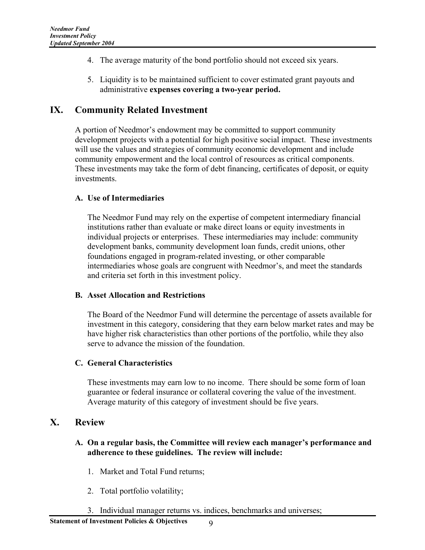- 4. The average maturity of the bond portfolio should not exceed six years.
- 5. Liquidity is to be maintained sufficient to cover estimated grant payouts and administrative **expenses covering a two-year period.**

### **IX. Community Related Investment**

A portion of Needmor's endowment may be committed to support community development projects with a potential for high positive social impact. These investments will use the values and strategies of community economic development and include community empowerment and the local control of resources as critical components. These investments may take the form of debt financing, certificates of deposit, or equity investments.

#### **A. Use of Intermediaries**

The Needmor Fund may rely on the expertise of competent intermediary financial institutions rather than evaluate or make direct loans or equity investments in individual projects or enterprises. These intermediaries may include: community development banks, community development loan funds, credit unions, other foundations engaged in program-related investing, or other comparable intermediaries whose goals are congruent with Needmor's, and meet the standards and criteria set forth in this investment policy.

#### **B. Asset Allocation and Restrictions**

The Board of the Needmor Fund will determine the percentage of assets available for investment in this category, considering that they earn below market rates and may be have higher risk characteristics than other portions of the portfolio, while they also serve to advance the mission of the foundation.

#### **C. General Characteristics**

These investments may earn low to no income. There should be some form of loan guarantee or federal insurance or collateral covering the value of the investment. Average maturity of this category of investment should be five years.

#### **X. Review**

#### **A. On a regular basis, the Committee will review each manager's performance and adherence to these guidelines. The review will include:**

- 1. Market and Total Fund returns;
- 2. Total portfolio volatility;
- 3. Individual manager returns vs. indices, benchmarks and universes;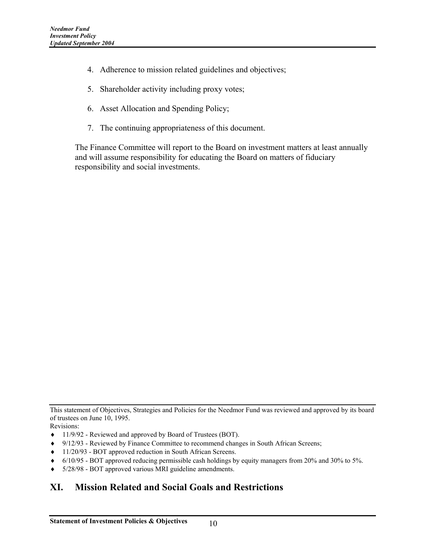- 4. Adherence to mission related guidelines and objectives;
- 5. Shareholder activity including proxy votes;
- 6. Asset Allocation and Spending Policy;
- 7. The continuing appropriateness of this document.

The Finance Committee will report to the Board on investment matters at least annually and will assume responsibility for educating the Board on matters of fiduciary responsibility and social investments.

Revisions:

- ♦ 11/9/92 Reviewed and approved by Board of Trustees (BOT).
- ♦ 9/12/93 Reviewed by Finance Committee to recommend changes in South African Screens;
- ♦ 11/20/93 BOT approved reduction in South African Screens.
- ♦ 6/10/95 BOT approved reducing permissible cash holdings by equity managers from 20% and 30% to 5%.
- ♦ 5/28/98 BOT approved various MRI guideline amendments.

# **XI. Mission Related and Social Goals and Restrictions**

This statement of Objectives, Strategies and Policies for the Needmor Fund was reviewed and approved by its board of trustees on June 10, 1995.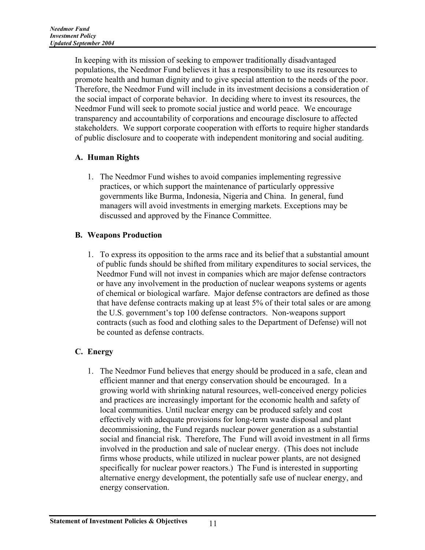In keeping with its mission of seeking to empower traditionally disadvantaged populations, the Needmor Fund believes it has a responsibility to use its resources to promote health and human dignity and to give special attention to the needs of the poor. Therefore, the Needmor Fund will include in its investment decisions a consideration of the social impact of corporate behavior. In deciding where to invest its resources, the Needmor Fund will seek to promote social justice and world peace. We encourage transparency and accountability of corporations and encourage disclosure to affected stakeholders. We support corporate cooperation with efforts to require higher standards of public disclosure and to cooperate with independent monitoring and social auditing.

### **A. Human Rights**

1. The Needmor Fund wishes to avoid companies implementing regressive practices, or which support the maintenance of particularly oppressive governments like Burma, Indonesia, Nigeria and China. In general, fund managers will avoid investments in emerging markets. Exceptions may be discussed and approved by the Finance Committee.

### **B. Weapons Production**

1. To express its opposition to the arms race and its belief that a substantial amount of public funds should be shifted from military expenditures to social services, the Needmor Fund will not invest in companies which are major defense contractors or have any involvement in the production of nuclear weapons systems or agents of chemical or biological warfare. Major defense contractors are defined as those that have defense contracts making up at least 5% of their total sales or are among the U.S. government's top 100 defense contractors. Non-weapons support contracts (such as food and clothing sales to the Department of Defense) will not be counted as defense contracts.

# **C. Energy**

1. The Needmor Fund believes that energy should be produced in a safe, clean and efficient manner and that energy conservation should be encouraged. In a growing world with shrinking natural resources, well-conceived energy policies and practices are increasingly important for the economic health and safety of local communities. Until nuclear energy can be produced safely and cost effectively with adequate provisions for long-term waste disposal and plant decommissioning, the Fund regards nuclear power generation as a substantial social and financial risk. Therefore, The Fund will avoid investment in all firms involved in the production and sale of nuclear energy. (This does not include firms whose products, while utilized in nuclear power plants, are not designed specifically for nuclear power reactors.) The Fund is interested in supporting alternative energy development, the potentially safe use of nuclear energy, and energy conservation.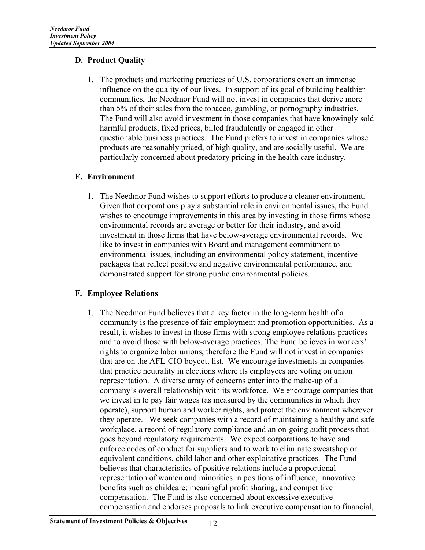#### **D. Product Quality**

1. The products and marketing practices of U.S. corporations exert an immense influence on the quality of our lives. In support of its goal of building healthier communities, the Needmor Fund will not invest in companies that derive more than 5% of their sales from the tobacco, gambling, or pornography industries. The Fund will also avoid investment in those companies that have knowingly sold harmful products, fixed prices, billed fraudulently or engaged in other questionable business practices. The Fund prefers to invest in companies whose products are reasonably priced, of high quality, and are socially useful. We are particularly concerned about predatory pricing in the health care industry.

#### **E. Environment**

1. The Needmor Fund wishes to support efforts to produce a cleaner environment. Given that corporations play a substantial role in environmental issues, the Fund wishes to encourage improvements in this area by investing in those firms whose environmental records are average or better for their industry, and avoid investment in those firms that have below-average environmental records. We like to invest in companies with Board and management commitment to environmental issues, including an environmental policy statement, incentive packages that reflect positive and negative environmental performance, and demonstrated support for strong public environmental policies.

#### **F. Employee Relations**

1. The Needmor Fund believes that a key factor in the long-term health of a community is the presence of fair employment and promotion opportunities. As a result, it wishes to invest in those firms with strong employee relations practices and to avoid those with below-average practices. The Fund believes in workers' rights to organize labor unions, therefore the Fund will not invest in companies that are on the AFL-CIO boycott list. We encourage investments in companies that practice neutrality in elections where its employees are voting on union representation. A diverse array of concerns enter into the make-up of a company's overall relationship with its workforce. We encourage companies that we invest in to pay fair wages (as measured by the communities in which they operate), support human and worker rights, and protect the environment wherever they operate. We seek companies with a record of maintaining a healthy and safe workplace, a record of regulatory compliance and an on-going audit process that goes beyond regulatory requirements. We expect corporations to have and enforce codes of conduct for suppliers and to work to eliminate sweatshop or equivalent conditions, child labor and other exploitative practices. The Fund believes that characteristics of positive relations include a proportional representation of women and minorities in positions of influence, innovative benefits such as childcare; meaningful profit sharing; and competitive compensation. The Fund is also concerned about excessive executive compensation and endorses proposals to link executive compensation to financial,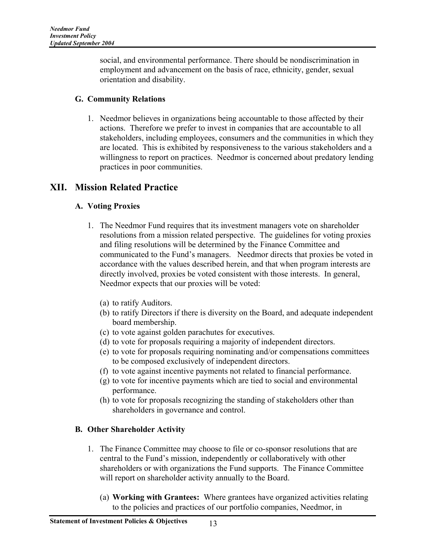social, and environmental performance. There should be nondiscrimination in employment and advancement on the basis of race, ethnicity, gender, sexual orientation and disability.

### **G. Community Relations**

1. Needmor believes in organizations being accountable to those affected by their actions. Therefore we prefer to invest in companies that are accountable to all stakeholders, including employees, consumers and the communities in which they are located. This is exhibited by responsiveness to the various stakeholders and a willingness to report on practices. Needmor is concerned about predatory lending practices in poor communities.

# **XII. Mission Related Practice**

### **A. Voting Proxies**

- 1. The Needmor Fund requires that its investment managers vote on shareholder resolutions from a mission related perspective. The guidelines for voting proxies and filing resolutions will be determined by the Finance Committee and communicated to the Fund's managers. Needmor directs that proxies be voted in accordance with the values described herein, and that when program interests are directly involved, proxies be voted consistent with those interests. In general, Needmor expects that our proxies will be voted:
	- (a) to ratify Auditors.
	- (b) to ratify Directors if there is diversity on the Board, and adequate independent board membership.
	- (c) to vote against golden parachutes for executives.
	- (d) to vote for proposals requiring a majority of independent directors.
	- (e) to vote for proposals requiring nominating and/or compensations committees to be composed exclusively of independent directors.
	- (f) to vote against incentive payments not related to financial performance.
	- (g) to vote for incentive payments which are tied to social and environmental performance.
	- (h) to vote for proposals recognizing the standing of stakeholders other than shareholders in governance and control.

### **B. Other Shareholder Activity**

- 1. The Finance Committee may choose to file or co-sponsor resolutions that are central to the Fund's mission, independently or collaboratively with other shareholders or with organizations the Fund supports. The Finance Committee will report on shareholder activity annually to the Board.
	- (a) **Working with Grantees:** Where grantees have organized activities relating to the policies and practices of our portfolio companies, Needmor, in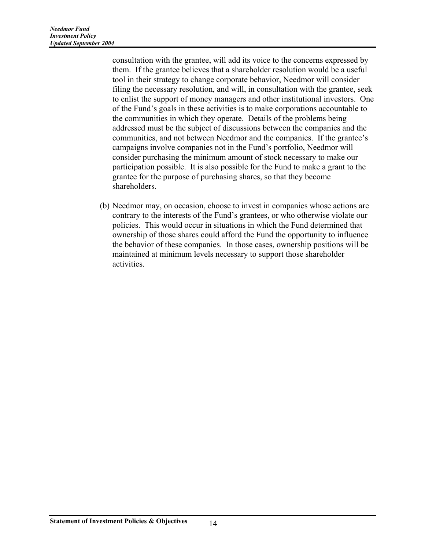consultation with the grantee, will add its voice to the concerns expressed by them. If the grantee believes that a shareholder resolution would be a useful tool in their strategy to change corporate behavior, Needmor will consider filing the necessary resolution, and will, in consultation with the grantee, seek to enlist the support of money managers and other institutional investors. One of the Fund's goals in these activities is to make corporations accountable to the communities in which they operate. Details of the problems being addressed must be the subject of discussions between the companies and the communities, and not between Needmor and the companies. If the grantee's campaigns involve companies not in the Fund's portfolio, Needmor will consider purchasing the minimum amount of stock necessary to make our participation possible. It is also possible for the Fund to make a grant to the grantee for the purpose of purchasing shares, so that they become shareholders.

(b) Needmor may, on occasion, choose to invest in companies whose actions are contrary to the interests of the Fund's grantees, or who otherwise violate our policies. This would occur in situations in which the Fund determined that ownership of those shares could afford the Fund the opportunity to influence the behavior of these companies. In those cases, ownership positions will be maintained at minimum levels necessary to support those shareholder activities.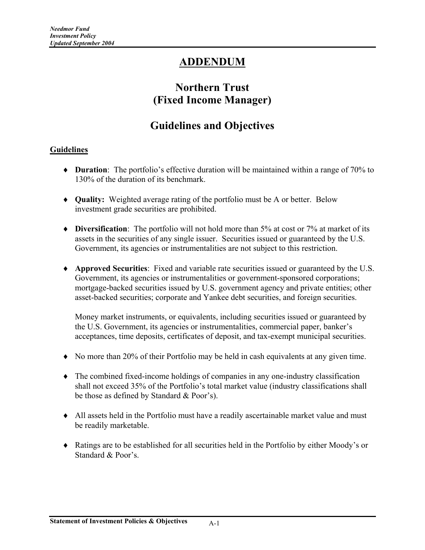# **ADDENDUM**

# **Northern Trust (Fixed Income Manager)**

# **Guidelines and Objectives**

#### **Guidelines**

- ♦ **Duration**: The portfolio's effective duration will be maintained within a range of 70% to 130% of the duration of its benchmark.
- ♦ **Quality:** Weighted average rating of the portfolio must be A or better. Below investment grade securities are prohibited.
- ♦ **Diversification**: The portfolio will not hold more than 5% at cost or 7% at market of its assets in the securities of any single issuer. Securities issued or guaranteed by the U.S. Government, its agencies or instrumentalities are not subject to this restriction.
- ♦ **Approved Securities**: Fixed and variable rate securities issued or guaranteed by the U.S. Government, its agencies or instrumentalities or government-sponsored corporations; mortgage-backed securities issued by U.S. government agency and private entities; other asset-backed securities; corporate and Yankee debt securities, and foreign securities.

Money market instruments, or equivalents, including securities issued or guaranteed by the U.S. Government, its agencies or instrumentalities, commercial paper, banker's acceptances, time deposits, certificates of deposit, and tax-exempt municipal securities.

- ♦ No more than 20% of their Portfolio may be held in cash equivalents at any given time.
- ♦ The combined fixed-income holdings of companies in any one-industry classification shall not exceed 35% of the Portfolio's total market value (industry classifications shall be those as defined by Standard & Poor's).
- ♦ All assets held in the Portfolio must have a readily ascertainable market value and must be readily marketable.
- ♦ Ratings are to be established for all securities held in the Portfolio by either Moody's or Standard & Poor's.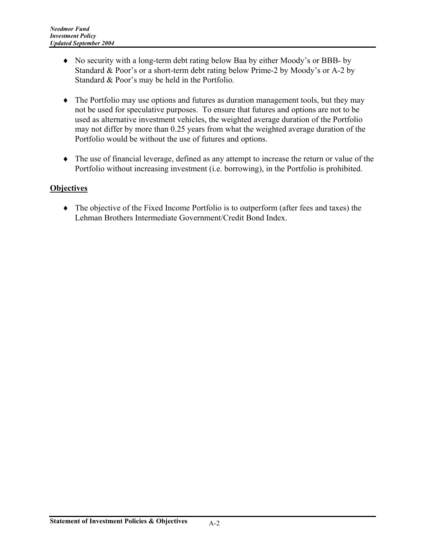- ♦ No security with a long-term debt rating below Baa by either Moody's or BBB- by Standard & Poor's or a short-term debt rating below Prime-2 by Moody's or A-2 by Standard & Poor's may be held in the Portfolio.
- ♦ The Portfolio may use options and futures as duration management tools, but they may not be used for speculative purposes. To ensure that futures and options are not to be used as alternative investment vehicles, the weighted average duration of the Portfolio may not differ by more than 0.25 years from what the weighted average duration of the Portfolio would be without the use of futures and options.
- ♦ The use of financial leverage, defined as any attempt to increase the return or value of the Portfolio without increasing investment (i.e. borrowing), in the Portfolio is prohibited.

#### **Objectives**

♦ The objective of the Fixed Income Portfolio is to outperform (after fees and taxes) the Lehman Brothers Intermediate Government/Credit Bond Index.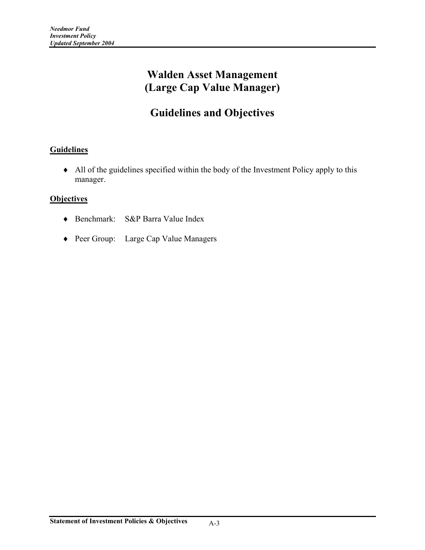# **Walden Asset Management (Large Cap Value Manager)**

# **Guidelines and Objectives**

### **Guidelines**

♦ All of the guidelines specified within the body of the Investment Policy apply to this manager.

- ♦ Benchmark: S&P Barra Value Index
- ♦ Peer Group: Large Cap Value Managers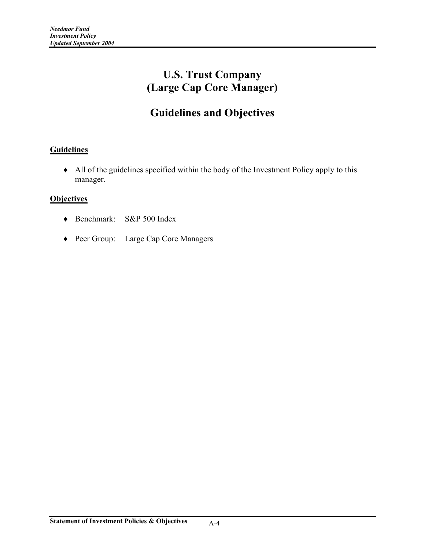# **U.S. Trust Company (Large Cap Core Manager)**

# **Guidelines and Objectives**

### **Guidelines**

♦ All of the guidelines specified within the body of the Investment Policy apply to this manager.

- ♦ Benchmark: S&P 500 Index
- ♦ Peer Group: Large Cap Core Managers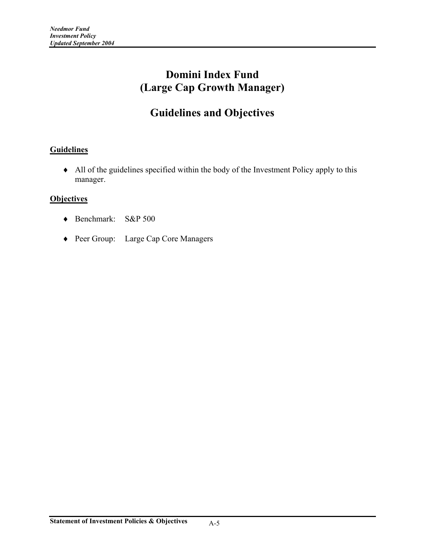# **Domini Index Fund (Large Cap Growth Manager)**

# **Guidelines and Objectives**

### **Guidelines**

♦ All of the guidelines specified within the body of the Investment Policy apply to this manager.

- ♦ Benchmark: S&P 500
- ♦ Peer Group: Large Cap Core Managers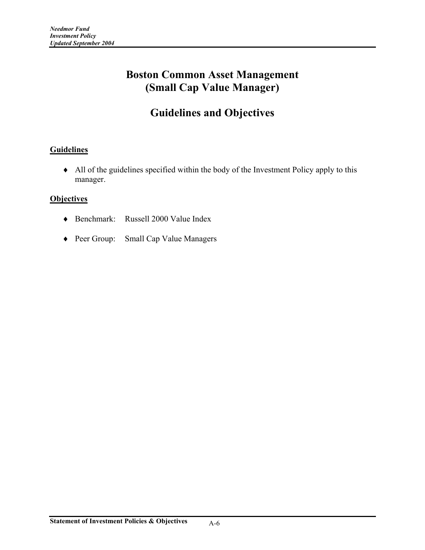# **Boston Common Asset Management (Small Cap Value Manager)**

# **Guidelines and Objectives**

### **Guidelines**

♦ All of the guidelines specified within the body of the Investment Policy apply to this manager.

- ♦ Benchmark: Russell 2000 Value Index
- ♦ Peer Group: Small Cap Value Managers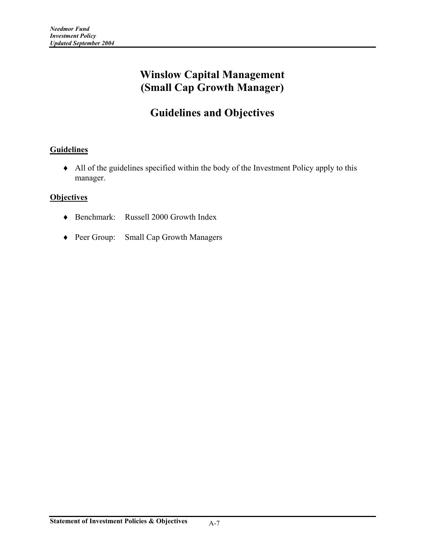# **Winslow Capital Management (Small Cap Growth Manager)**

# **Guidelines and Objectives**

### **Guidelines**

♦ All of the guidelines specified within the body of the Investment Policy apply to this manager.

- ♦ Benchmark: Russell 2000 Growth Index
- ♦ Peer Group: Small Cap Growth Managers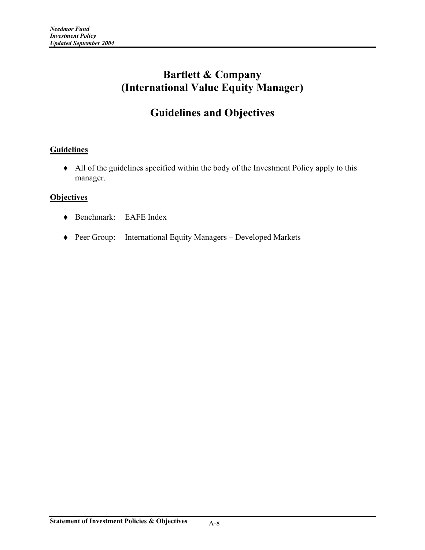# **Bartlett & Company (International Value Equity Manager)**

# **Guidelines and Objectives**

### **Guidelines**

♦ All of the guidelines specified within the body of the Investment Policy apply to this manager.

- ♦ Benchmark: EAFE Index
- ♦ Peer Group: International Equity Managers Developed Markets